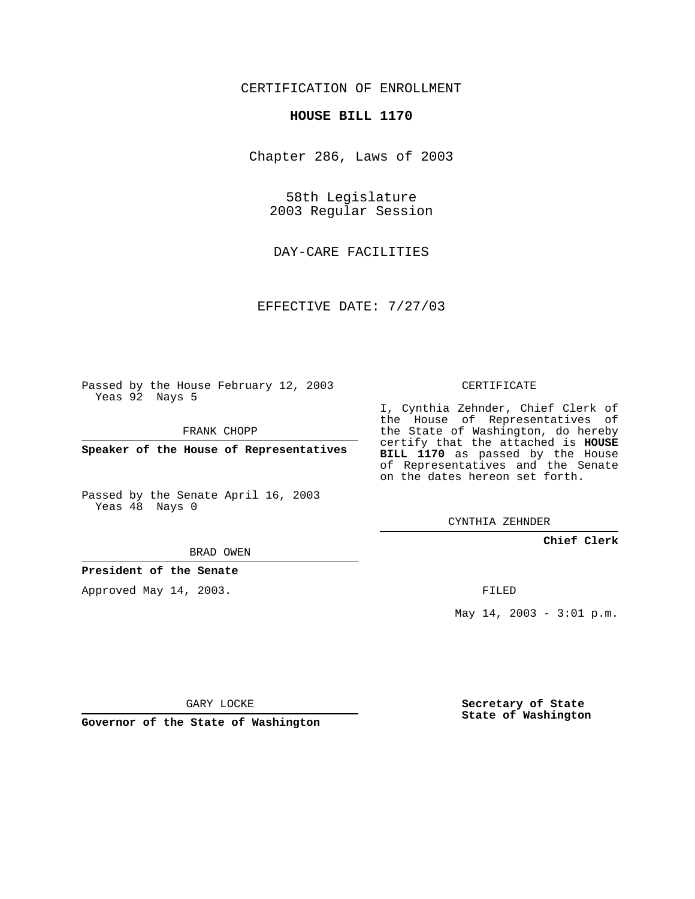## CERTIFICATION OF ENROLLMENT

## **HOUSE BILL 1170**

Chapter 286, Laws of 2003

58th Legislature 2003 Regular Session

DAY-CARE FACILITIES

EFFECTIVE DATE: 7/27/03

Passed by the House February 12, 2003 Yeas 92 Nays 5

FRANK CHOPP

**Speaker of the House of Representatives**

Passed by the Senate April 16, 2003 Yeas 48 Nays 0

I, Cynthia Zehnder, Chief Clerk of

the House of Representatives of the State of Washington, do hereby certify that the attached is **HOUSE BILL 1170** as passed by the House of Representatives and the Senate on the dates hereon set forth.

CERTIFICATE

CYNTHIA ZEHNDER

## **Chief Clerk**

BRAD OWEN

**President of the Senate**

Approved May 14, 2003.

FILED

May 14, 2003 - 3:01 p.m.

GARY LOCKE

**Governor of the State of Washington**

**Secretary of State State of Washington**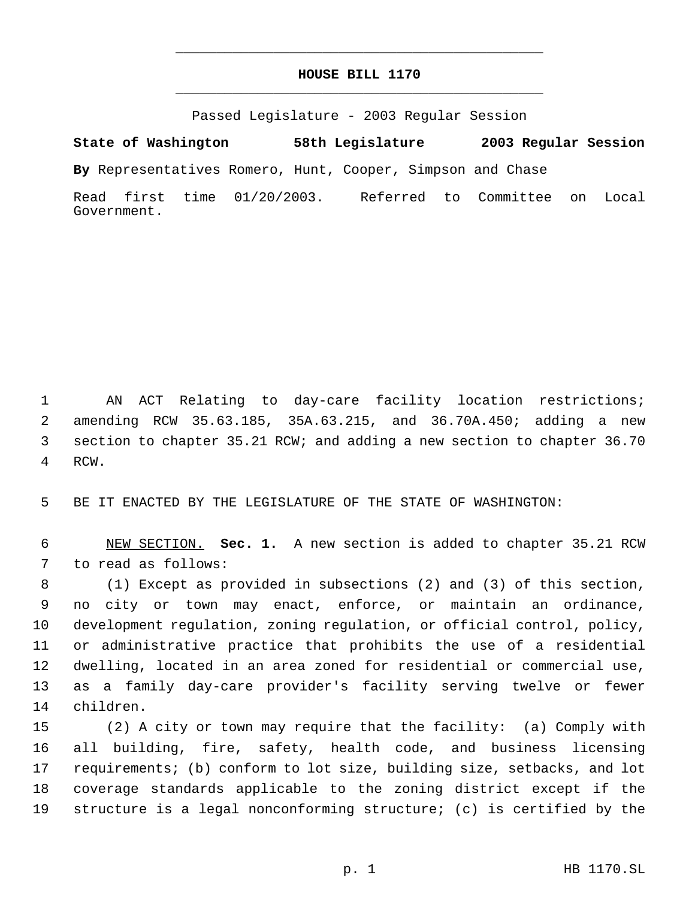## **HOUSE BILL 1170** \_\_\_\_\_\_\_\_\_\_\_\_\_\_\_\_\_\_\_\_\_\_\_\_\_\_\_\_\_\_\_\_\_\_\_\_\_\_\_\_\_\_\_\_\_

\_\_\_\_\_\_\_\_\_\_\_\_\_\_\_\_\_\_\_\_\_\_\_\_\_\_\_\_\_\_\_\_\_\_\_\_\_\_\_\_\_\_\_\_\_

Passed Legislature - 2003 Regular Session

**State of Washington 58th Legislature 2003 Regular Session**

**By** Representatives Romero, Hunt, Cooper, Simpson and Chase

Read first time 01/20/2003. Referred to Committee on Local Government.

 AN ACT Relating to day-care facility location restrictions; amending RCW 35.63.185, 35A.63.215, and 36.70A.450; adding a new section to chapter 35.21 RCW; and adding a new section to chapter 36.70 RCW.

BE IT ENACTED BY THE LEGISLATURE OF THE STATE OF WASHINGTON:

 NEW SECTION. **Sec. 1.** A new section is added to chapter 35.21 RCW to read as follows:

 (1) Except as provided in subsections (2) and (3) of this section, no city or town may enact, enforce, or maintain an ordinance, development regulation, zoning regulation, or official control, policy, or administrative practice that prohibits the use of a residential dwelling, located in an area zoned for residential or commercial use, as a family day-care provider's facility serving twelve or fewer children.

 (2) A city or town may require that the facility: (a) Comply with all building, fire, safety, health code, and business licensing requirements; (b) conform to lot size, building size, setbacks, and lot coverage standards applicable to the zoning district except if the structure is a legal nonconforming structure; (c) is certified by the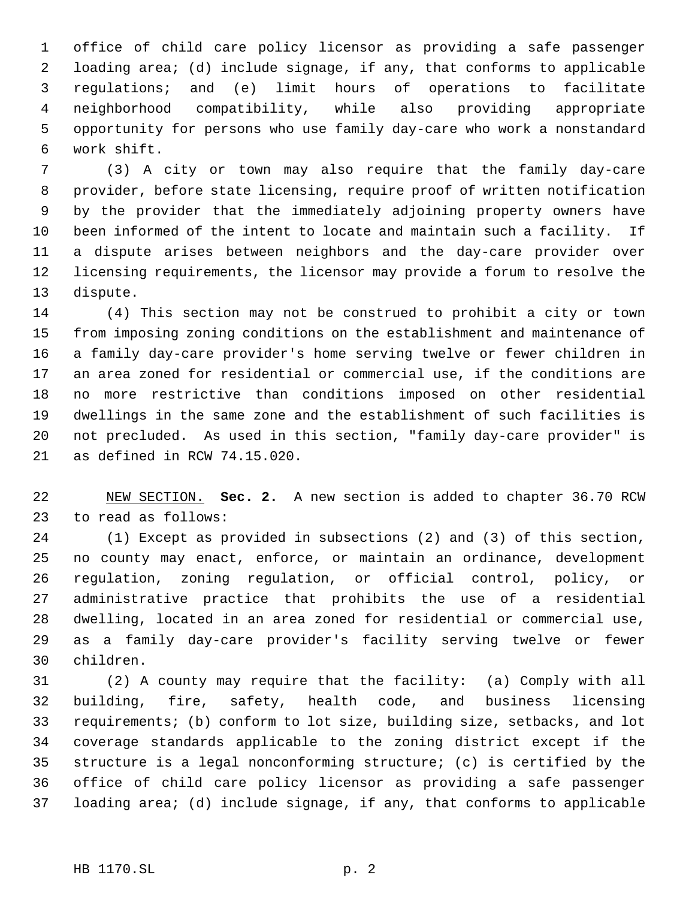office of child care policy licensor as providing a safe passenger loading area; (d) include signage, if any, that conforms to applicable regulations; and (e) limit hours of operations to facilitate neighborhood compatibility, while also providing appropriate opportunity for persons who use family day-care who work a nonstandard work shift.

 (3) A city or town may also require that the family day-care provider, before state licensing, require proof of written notification by the provider that the immediately adjoining property owners have been informed of the intent to locate and maintain such a facility. If a dispute arises between neighbors and the day-care provider over licensing requirements, the licensor may provide a forum to resolve the dispute.

 (4) This section may not be construed to prohibit a city or town from imposing zoning conditions on the establishment and maintenance of a family day-care provider's home serving twelve or fewer children in an area zoned for residential or commercial use, if the conditions are no more restrictive than conditions imposed on other residential dwellings in the same zone and the establishment of such facilities is not precluded. As used in this section, "family day-care provider" is as defined in RCW 74.15.020.

 NEW SECTION. **Sec. 2.** A new section is added to chapter 36.70 RCW to read as follows:

 (1) Except as provided in subsections (2) and (3) of this section, no county may enact, enforce, or maintain an ordinance, development regulation, zoning regulation, or official control, policy, or administrative practice that prohibits the use of a residential dwelling, located in an area zoned for residential or commercial use, as a family day-care provider's facility serving twelve or fewer children.

 (2) A county may require that the facility: (a) Comply with all building, fire, safety, health code, and business licensing requirements; (b) conform to lot size, building size, setbacks, and lot coverage standards applicable to the zoning district except if the structure is a legal nonconforming structure; (c) is certified by the office of child care policy licensor as providing a safe passenger loading area; (d) include signage, if any, that conforms to applicable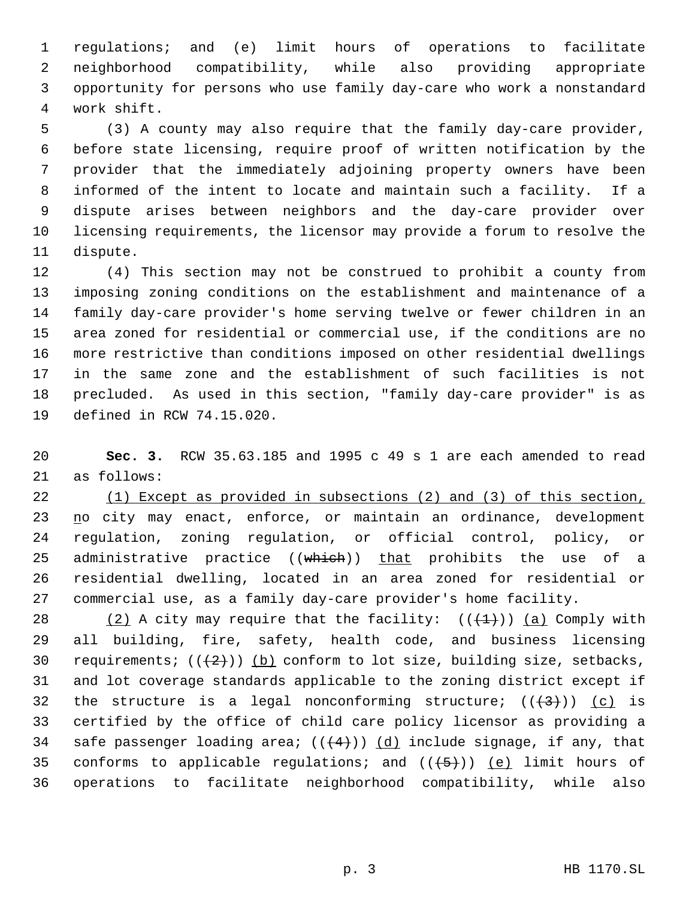regulations; and (e) limit hours of operations to facilitate neighborhood compatibility, while also providing appropriate opportunity for persons who use family day-care who work a nonstandard work shift.

 (3) A county may also require that the family day-care provider, before state licensing, require proof of written notification by the provider that the immediately adjoining property owners have been informed of the intent to locate and maintain such a facility. If a dispute arises between neighbors and the day-care provider over licensing requirements, the licensor may provide a forum to resolve the dispute.

 (4) This section may not be construed to prohibit a county from imposing zoning conditions on the establishment and maintenance of a family day-care provider's home serving twelve or fewer children in an area zoned for residential or commercial use, if the conditions are no more restrictive than conditions imposed on other residential dwellings in the same zone and the establishment of such facilities is not precluded. As used in this section, "family day-care provider" is as defined in RCW 74.15.020.

 **Sec. 3.** RCW 35.63.185 and 1995 c 49 s 1 are each amended to read as follows:

 (1) Except as provided in subsections (2) and (3) of this section, 23 no city may enact, enforce, or maintain an ordinance, development regulation, zoning regulation, or official control, policy, or 25 administrative practice ((which)) that prohibits the use of a residential dwelling, located in an area zoned for residential or commercial use, as a family day-care provider's home facility.

28 (2) A city may require that the facility:  $((+1))$  (a) Comply with all building, fire, safety, health code, and business licensing 30 requirements;  $((+2)^{n})$  (b) conform to lot size, building size, setbacks, and lot coverage standards applicable to the zoning district except if 32 the structure is a legal nonconforming structure;  $((+3+))$  (c) is certified by the office of child care policy licensor as providing a 34 safe passenger loading area;  $((+4))$   $(d)$  include signage, if any, that 35 conforms to applicable regulations; and  $((+5))$  (e) limit hours of operations to facilitate neighborhood compatibility, while also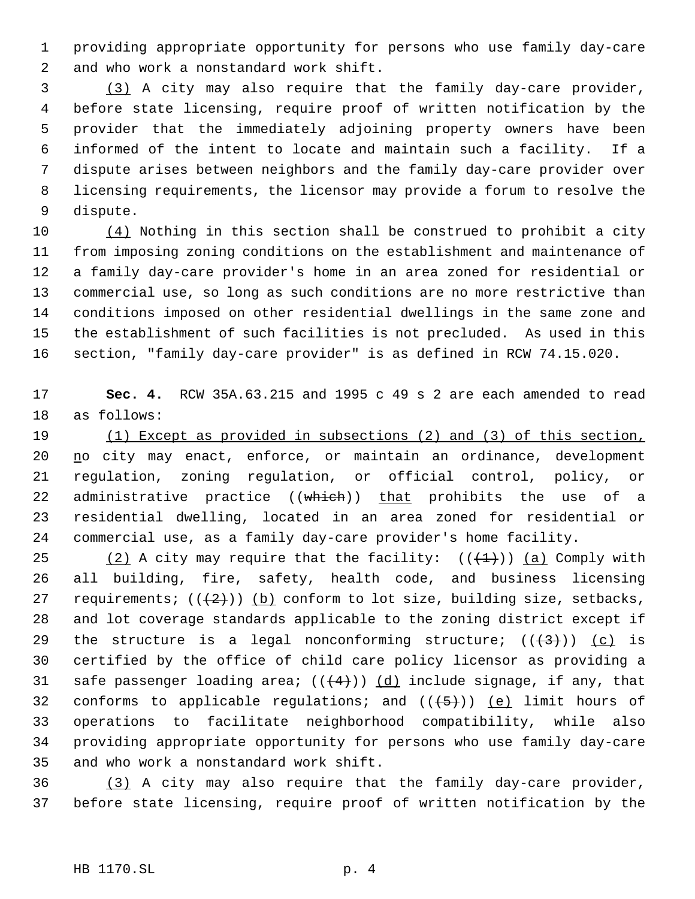providing appropriate opportunity for persons who use family day-care and who work a nonstandard work shift.

 (3) A city may also require that the family day-care provider, before state licensing, require proof of written notification by the provider that the immediately adjoining property owners have been informed of the intent to locate and maintain such a facility. If a dispute arises between neighbors and the family day-care provider over licensing requirements, the licensor may provide a forum to resolve the dispute.

 $(4)$  Nothing in this section shall be construed to prohibit a city from imposing zoning conditions on the establishment and maintenance of a family day-care provider's home in an area zoned for residential or commercial use, so long as such conditions are no more restrictive than conditions imposed on other residential dwellings in the same zone and the establishment of such facilities is not precluded. As used in this section, "family day-care provider" is as defined in RCW 74.15.020.

 **Sec. 4.** RCW 35A.63.215 and 1995 c 49 s 2 are each amended to read as follows:

 (1) Except as provided in subsections (2) and (3) of this section, 20 no city may enact, enforce, or maintain an ordinance, development regulation, zoning regulation, or official control, policy, or 22 administrative practice ((which)) that prohibits the use of a residential dwelling, located in an area zoned for residential or commercial use, as a family day-care provider's home facility.

25 (2) A city may require that the facility:  $((+1))$  (a) Comply with all building, fire, safety, health code, and business licensing 27 requirements;  $((+2)^{n})$  (b) conform to lot size, building size, setbacks, and lot coverage standards applicable to the zoning district except if 29 the structure is a legal nonconforming structure;  $((+3+))$  (c) is certified by the office of child care policy licensor as providing a 31 safe passenger loading area;  $((+4))$   $(d)$  include signage, if any, that 32 conforms to applicable regulations; and  $((+5))$  (e) limit hours of operations to facilitate neighborhood compatibility, while also providing appropriate opportunity for persons who use family day-care and who work a nonstandard work shift.

 (3) A city may also require that the family day-care provider, before state licensing, require proof of written notification by the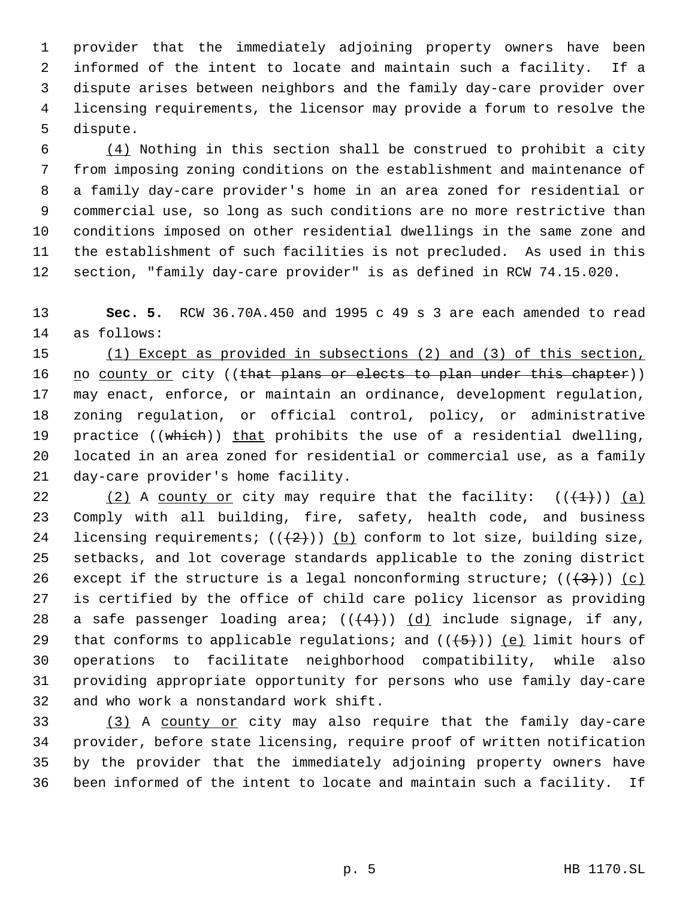provider that the immediately adjoining property owners have been informed of the intent to locate and maintain such a facility. If a dispute arises between neighbors and the family day-care provider over licensing requirements, the licensor may provide a forum to resolve the dispute.

 $\frac{(4)}{4}$  Nothing in this section shall be construed to prohibit a city from imposing zoning conditions on the establishment and maintenance of a family day-care provider's home in an area zoned for residential or commercial use, so long as such conditions are no more restrictive than conditions imposed on other residential dwellings in the same zone and the establishment of such facilities is not precluded. As used in this section, "family day-care provider" is as defined in RCW 74.15.020.

 **Sec. 5.** RCW 36.70A.450 and 1995 c 49 s 3 are each amended to read as follows:

 (1) Except as provided in subsections (2) and (3) of this section, 16 no county or city ((that plans or elects to plan under this chapter)) may enact, enforce, or maintain an ordinance, development regulation, zoning regulation, or official control, policy, or administrative 19 practice ((which)) that prohibits the use of a residential dwelling, located in an area zoned for residential or commercial use, as a family day-care provider's home facility.

22 (2) A county or city may require that the facility:  $((+1))$  (a) Comply with all building, fire, safety, health code, and business 24 licensing requirements;  $((+2))$  (b) conform to lot size, building size, setbacks, and lot coverage standards applicable to the zoning district 26 except if the structure is a legal nonconforming structure;  $((+3))$  (c) is certified by the office of child care policy licensor as providing 28 a safe passenger loading area;  $((+4))$   $(d)$  include signage, if any, 29 that conforms to applicable regulations; and  $((+5+))$  (e) limit hours of operations to facilitate neighborhood compatibility, while also providing appropriate opportunity for persons who use family day-care and who work a nonstandard work shift.

 (3) A county or city may also require that the family day-care provider, before state licensing, require proof of written notification by the provider that the immediately adjoining property owners have been informed of the intent to locate and maintain such a facility. If